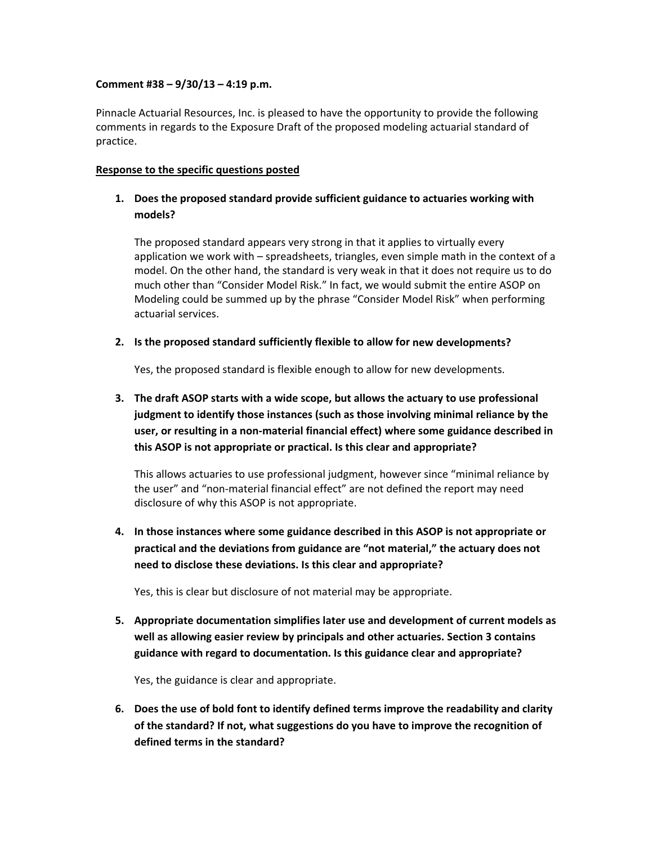#### **Comment #38 – 9/30/13 – 4:19 p.m.**

Pinnacle Actuarial Resources, Inc. is pleased to have the opportunity to provide the following comments in regards to the Exposure Draft of the proposed modeling actuarial standard of practice.

#### **Response to the specific questions posted**

## **1. Does the proposed standard provide sufficient guidance to actuaries working with models?**

The proposed standard appears very strong in that it applies to virtually every application we work with – spreadsheets, triangles, even simple math in the context of a model. On the other hand, the standard is very weak in that it does not require us to do much other than "Consider Model Risk." In fact, we would submit the entire ASOP on Modeling could be summed up by the phrase "Consider Model Risk" when performing actuarial services.

#### **2. Is the proposed standard sufficiently flexible to allow for new developments?**

Yes, the proposed standard is flexible enough to allow for new developments.

# **3. The draft ASOP starts with a wide scope, but allows the actuary to use professional judgment to identify those instances (such as those involving minimal reliance by the user, or resulting in a non‐material financial effect) where some guidance described in this ASOP is not appropriate or practical. Is this clear and appropriate?**

This allows actuaries to use professional judgment, however since "minimal reliance by the user" and "non‐material financial effect" are not defined the report may need disclosure of why this ASOP is not appropriate.

**4. In those instances where some guidance described in this ASOP is not appropriate or practical and the deviations from guidance are "not material," the actuary does not need to disclose these deviations. Is this clear and appropriate?**

Yes, this is clear but disclosure of not material may be appropriate.

**5. Appropriate documentation simplifies later use and development of current models as well as allowing easier review by principals and other actuaries. Section 3 contains guidance with regard to documentation. Is this guidance clear and appropriate?**

Yes, the guidance is clear and appropriate.

**6. Does the use of bold font to identify defined terms improve the readability and clarity of the standard? If not, what suggestions do you have to improve the recognition of defined terms in the standard?**